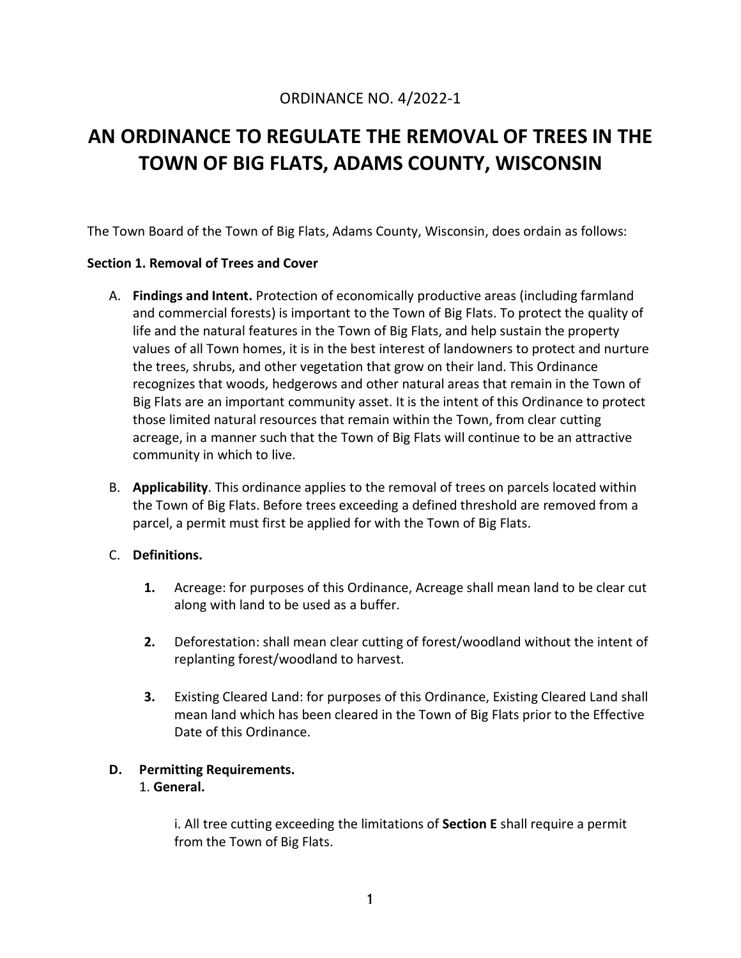## ORDINANCE NO. 4/2022-1

# **AN ORDINANCE TO REGULATE THE REMOVAL OF TREES IN THE TOWN OF BIG FLATS, ADAMS COUNTY, WISCONSIN**

The Town Board of the Town of Big Flats, Adams County, Wisconsin, does ordain as follows:

#### **Section 1. Removal of Trees and Cover**

- A. **Findings and Intent.** Protection of economically productive areas (including farmland and commercial forests) is important to the Town of Big Flats. To protect the quality of life and the natural features in the Town of Big Flats, and help sustain the property values of all Town homes, it is in the best interest of landowners to protect and nurture the trees, shrubs, and other vegetation that grow on their land. This Ordinance recognizes that woods, hedgerows and other natural areas that remain in the Town of Big Flats are an important community asset. It is the intent of this Ordinance to protect those limited natural resources that remain within the Town, from clear cutting acreage, in a manner such that the Town of Big Flats will continue to be an attractive community in which to live.
- B. **Applicability**. This ordinance applies to the removal of trees on parcels located within the Town of Big Flats. Before trees exceeding a defined threshold are removed from a parcel, a permit must first be applied for with the Town of Big Flats.

#### C. **Definitions.**

- **1.** Acreage: for purposes of this Ordinance, Acreage shall mean land to be clear cut along with land to be used as a buffer.
- **2.** Deforestation: shall mean clear cutting of forest/woodland without the intent of replanting forest/woodland to harvest.
- **3.** Existing Cleared Land: for purposes of this Ordinance, Existing Cleared Land shall mean land which has been cleared in the Town of Big Flats prior to the Effective Date of this Ordinance.

#### **D. Permitting Requirements.**

#### 1. **General.**

i. All tree cutting exceeding the limitations of **Section E** shall require a permit from the Town of Big Flats.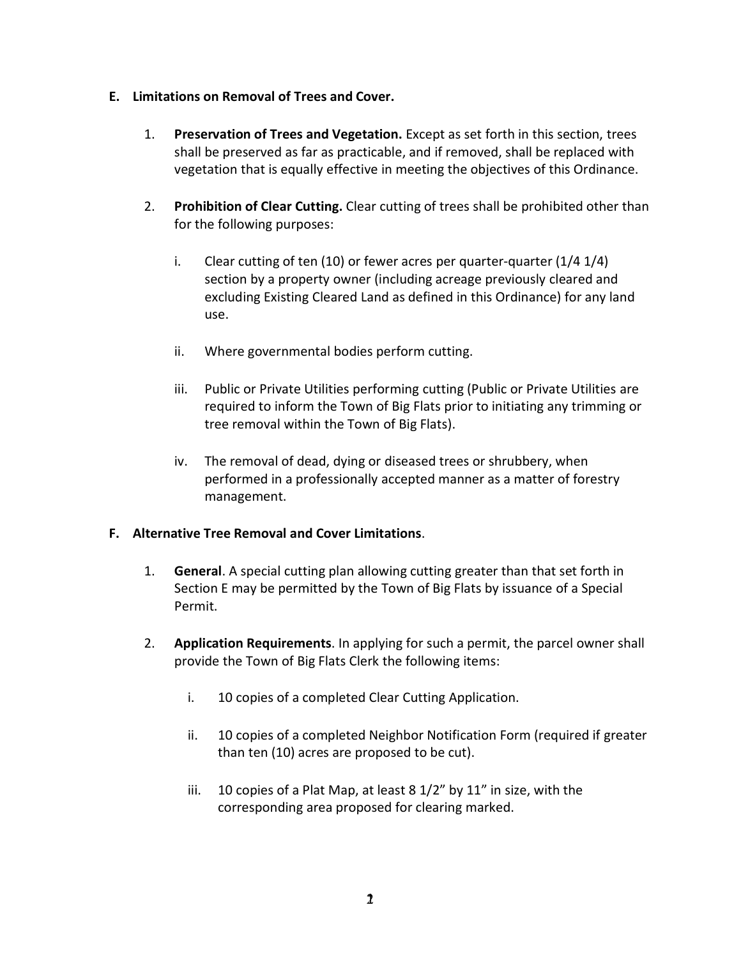- 1. **Preservation of Trees and Vegetation.** Except as set forth in this section, trees shall be preserved as far as practicable, and if removed, shall be replaced with vegetation that is equally effective in meeting the objectives of this Ordinance.
- 2. **Prohibition of Clear Cutting.** Clear cutting of trees shall be prohibited other than for the following purposes:
- 1. **Limitations on Removal of Trees and Cover.**<br>
1. **Preservation of Trees and Vegetation**<br>
shall be preserved as far as practicabl<br>
vegetation that is equally effective in<br>
2. **Prohibition of Clear Cutting**. Clear curver i. Clear cutting of ten  $(10)$  or fewer acres per quarter-quarter  $(1/4 1/4)$ section by a property owner (including acreage previously cleared and excluding Existing Cleared Land as defined in this Ordinance) for any land use.
	- ii. Where governmental bodies perform cutting.
	- iii. Public or Private Utilities performing cutting (Public or Private Utilities are required to inform the Town of Big Flats prior to initiating any trimming or tree removal within the Town of Big Flats).
	- iv. The removal of dead, dying or diseased trees or shrubbery, when performed in a professionally accepted manner as a matter of forestry management.

#### **F. Alternative Tree Removal and Cover Limitations**.

- 1. **General**. A special cutting plan allowing cutting greater than that set forth in Section E may be permitted by the Town of Big Flats by issuance of a Special Permit.
- 2. **Application Requirements**. In applying for such a permit, the parcel owner shall provide the Town of Big Flats Clerk the following items:
	- i. 10 copies of a completed Clear Cutting Application.
	- ii. 10 copies of a completed Neighbor Notification Form (required if greater than ten (10) acres are proposed to be cut).
	- iii. 10 copies of a Plat Map, at least 8 1/2" by 11" in size, with the corresponding area proposed for clearing marked.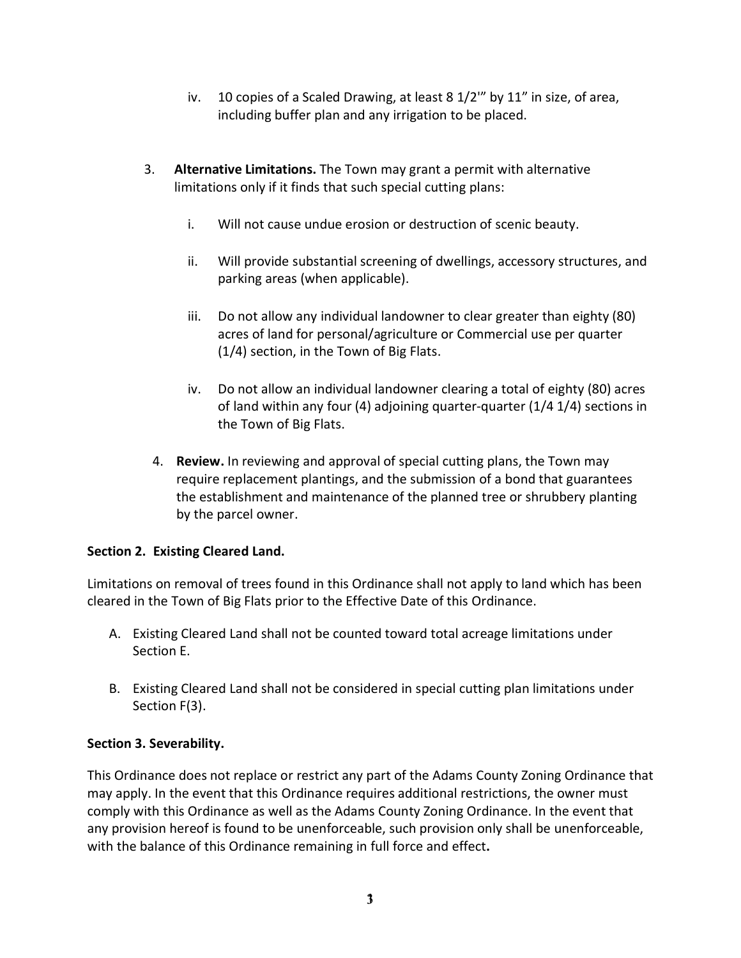- including buffer plan and any irrigation to be placed.
- 3. **Alternative Limitations.** The Town may grant a permit with alternative limitations only if it finds that such special cutting plans:
	- i. Will not cause undue erosion or destruction of scenic beauty.
	- ii. Will provide substantial screening of dwellings, accessory structures, and parking areas (when applicable).
	- iii. Do not allow any individual landowner to clear greater than eighty (80) acres of land for personal/agriculture or Commercial use per quarter (1/4) section, in the Town of Big Flats.
	- iv. Do not allow an individual landowner clearing a total of eighty (80) acres of land within any four (4) adjoining quarter-quarter (1/4 1/4) sections in the Town of Big Flats.
	- 4. **Review.** In reviewing and approval of special cutting plans, the Town may require replacement plantings, and the submission of a bond that guarantees the establishment and maintenance of the planned tree or shrubbery planting by the parcel owner.

### **Section 2. Existing Cleared Land.**

Limitations on removal of trees found in this Ordinance shall not apply to land which has been cleared in the Town of Big Flats prior to the Effective Date of this Ordinance.

- A. Existing Cleared Land shall not be counted toward total acreage limitations under Section E.
- B. Existing Cleared Land shall not be considered in special cutting plan limitations under Section F(3).

### **Section 3. Severability.**

iv. 10 copies of a Scaled Drawing, at least 8 1/2" by 11" in size, of area,<br>including buffer plan and any irrigation to be placed.<br>
ternative Limitations. The Town may grant a permit with alternative<br>
intentive only if it This Ordinance does not replace or restrict any part of the Adams County Zoning Ordinance that may apply. In the event that this Ordinance requires additional restrictions, the owner must comply with this Ordinance as well as the Adams County Zoning Ordinance. In the event that any provision hereof is found to be unenforceable, such provision only shall be unenforceable, with the balance of this Ordinance remaining in full force and effect**.**